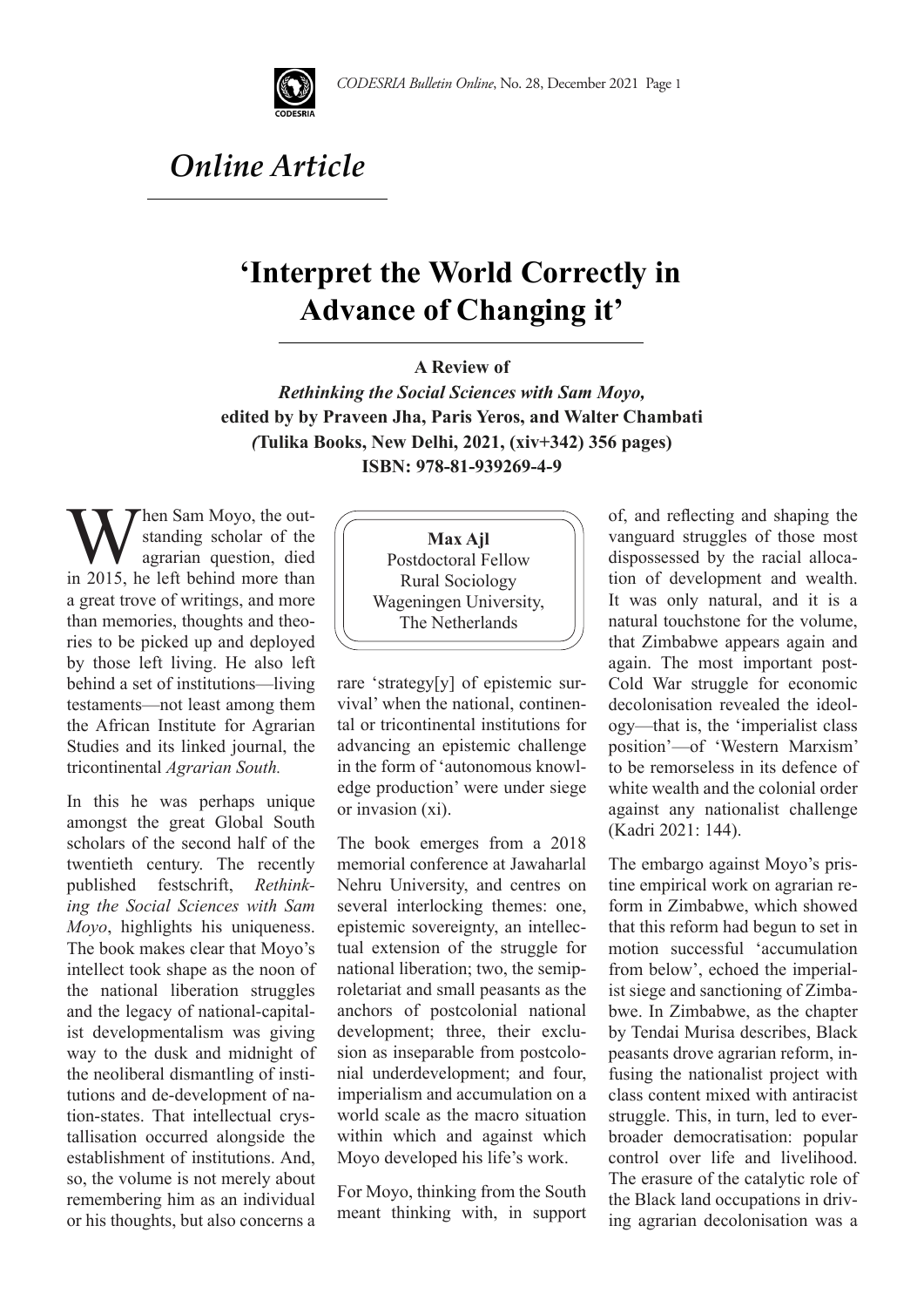

## *Online Article*

## **'Interpret the World Correctly in Advance of Changing it'**

**A Review of** *Rethinking the Social Sciences with Sam Moyo,* **edited by by Praveen Jha, Paris Yeros, and Walter Chambati** *(***Tulika Books, New Delhi, 2021, (xiv+342) 356 pages) ISBN: 978-81-939269-4-9**

When Sam Moyo, the out-<br>standing scholar of the<br>in 2015, he left behind more than standing scholar of the agrarian question, died a great trove of writings, and more than memories, thoughts and theories to be picked up and deployed by those left living. He also left behind a set of institutions—living testaments—not least among them the African Institute for Agrarian Studies and its linked journal, the tricontinental *Agrarian South.*

In this he was perhaps unique amongst the great Global South scholars of the second half of the twentieth century. The recently published festschrift, *Rethinking the Social Sciences with Sam Moyo*, highlights his uniqueness. The book makes clear that Moyo's intellect took shape as the noon of the national liberation struggles and the legacy of national-capitalist developmentalism was giving way to the dusk and midnight of the neoliberal dismantling of institutions and de-development of nation-states. That intellectual crystallisation occurred alongside the establishment of institutions. And, so, the volume is not merely about remembering him as an individual or his thoughts, but also concerns a

## **Max Ajl** Postdoctoral Fellow Rural Sociology Wageningen University, The Netherlands

rare 'strategy[y] of epistemic survival' when the national, continental or tricontinental institutions for advancing an epistemic challenge in the form of 'autonomous knowledge production' were under siege or invasion (xi).

The book emerges from a 2018 memorial conference at Jawaharlal Nehru University, and centres on several interlocking themes: one, epistemic sovereignty, an intellectual extension of the struggle for national liberation; two, the semiproletariat and small peasants as the anchors of postcolonial national development; three, their exclusion as inseparable from postcolonial underdevelopment; and four, imperialism and accumulation on a world scale as the macro situation within which and against which Moyo developed his life's work.

For Moyo, thinking from the South meant thinking with, in support of, and reflecting and shaping the vanguard struggles of those most dispossessed by the racial allocation of development and wealth. It was only natural, and it is a natural touchstone for the volume, that Zimbabwe appears again and again. The most important post-Cold War struggle for economic decolonisation revealed the ideology—that is, the 'imperialist class position'—of 'Western Marxism' to be remorseless in its defence of white wealth and the colonial order against any nationalist challenge (Kadri 2021: 144).

The embargo against Moyo's pristine empirical work on agrarian reform in Zimbabwe, which showed that this reform had begun to set in motion successful 'accumulation from below', echoed the imperialist siege and sanctioning of Zimbabwe. In Zimbabwe, as the chapter by Tendai Murisa describes, Black peasants drove agrarian reform, infusing the nationalist project with class content mixed with antiracist struggle. This, in turn, led to everbroader democratisation: popular control over life and livelihood. The erasure of the catalytic role of the Black land occupations in driving agrarian decolonisation was a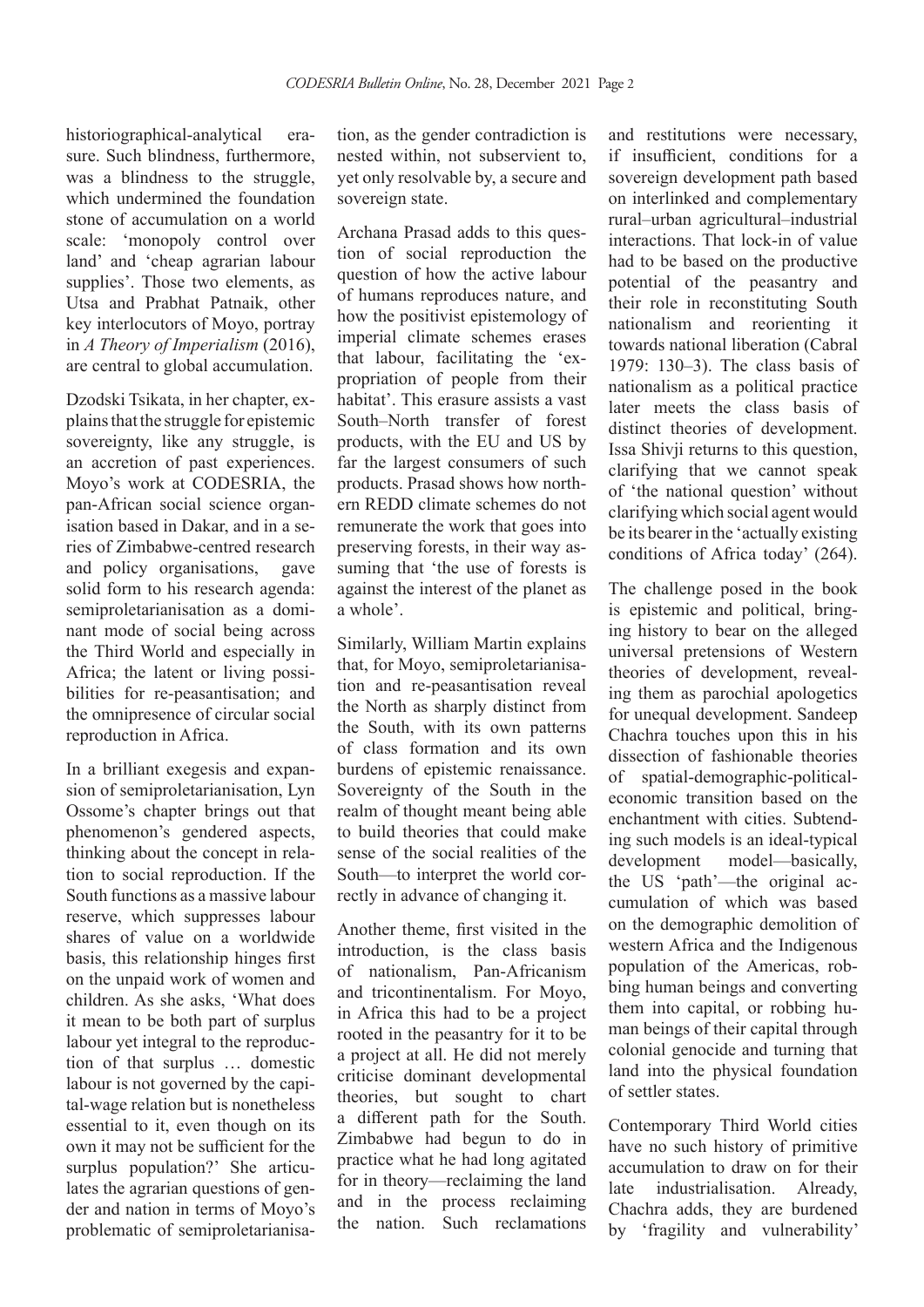historiographical-analytical erasure. Such blindness, furthermore, was a blindness to the struggle, which undermined the foundation stone of accumulation on a world scale: 'monopoly control over land' and 'cheap agrarian labour supplies'. Those two elements, as Utsa and Prabhat Patnaik, other key interlocutors of Moyo, portray in *A Theory of Imperialism* (2016), are central to global accumulation.

Dzodski Tsikata, in her chapter, explains that the struggle for epistemic sovereignty, like any struggle, is an accretion of past experiences. Moyo's work at CODESRIA, the pan-African social science organisation based in Dakar, and in a series of Zimbabwe-centred research and policy organisations, gave solid form to his research agenda: semiproletarianisation as a dominant mode of social being across the Third World and especially in Africa; the latent or living possibilities for re-peasantisation; and the omnipresence of circular social reproduction in Africa.

In a brilliant exegesis and expansion of semiproletarianisation, Lyn Ossome's chapter brings out that phenomenon's gendered aspects, thinking about the concept in relation to social reproduction. If the South functions as a massive labour reserve, which suppresses labour shares of value on a worldwide basis, this relationship hinges first on the unpaid work of women and children. As she asks, 'What does it mean to be both part of surplus labour yet integral to the reproduction of that surplus … domestic labour is not governed by the capital-wage relation but is nonetheless essential to it, even though on its own it may not be sufficient for the surplus population?' She articulates the agrarian questions of gender and nation in terms of Moyo's problematic of semiproletarianisa-

tion, as the gender contradiction is nested within, not subservient to, yet only resolvable by, a secure and sovereign state.

Archana Prasad adds to this question of social reproduction the question of how the active labour of humans reproduces nature, and how the positivist epistemology of imperial climate schemes erases that labour, facilitating the 'expropriation of people from their habitat'. This erasure assists a vast South–North transfer of forest products, with the EU and US by far the largest consumers of such products. Prasad shows how northern REDD climate schemes do not remunerate the work that goes into preserving forests, in their way assuming that 'the use of forests is against the interest of the planet as a whole'.

Similarly, William Martin explains that, for Moyo, semiproletarianisation and re-peasantisation reveal the North as sharply distinct from the South, with its own patterns of class formation and its own burdens of epistemic renaissance. Sovereignty of the South in the realm of thought meant being able to build theories that could make sense of the social realities of the South—to interpret the world correctly in advance of changing it.

Another theme, first visited in the introduction, is the class basis of nationalism, Pan-Africanism and tricontinentalism. For Moyo, in Africa this had to be a project rooted in the peasantry for it to be a project at all. He did not merely criticise dominant developmental theories, but sought to chart a different path for the South. Zimbabwe had begun to do in practice what he had long agitated for in theory—reclaiming the land and in the process reclaiming the nation. Such reclamations and restitutions were necessary, if insufficient, conditions for a sovereign development path based on interlinked and complementary rural–urban agricultural–industrial interactions. That lock-in of value had to be based on the productive potential of the peasantry and their role in reconstituting South nationalism and reorienting it towards national liberation (Cabral 1979: 130–3). The class basis of nationalism as a political practice later meets the class basis of distinct theories of development. Issa Shivji returns to this question, clarifying that we cannot speak of 'the national question' without clarifying which social agent would be its bearer in the 'actually existing conditions of Africa today' (264).

The challenge posed in the book is epistemic and political, bringing history to bear on the alleged universal pretensions of Western theories of development, revealing them as parochial apologetics for unequal development. Sandeep Chachra touches upon this in his dissection of fashionable theories spatial-demographic-politicaleconomic transition based on the enchantment with cities. Subtending such models is an ideal-typical development model—basically, the US 'path'—the original accumulation of which was based on the demographic demolition of western Africa and the Indigenous population of the Americas, robbing human beings and converting them into capital, or robbing human beings of their capital through colonial genocide and turning that land into the physical foundation of settler states.

Contemporary Third World cities have no such history of primitive accumulation to draw on for their late industrialisation. Already, Chachra adds, they are burdened by 'fragility and vulnerability'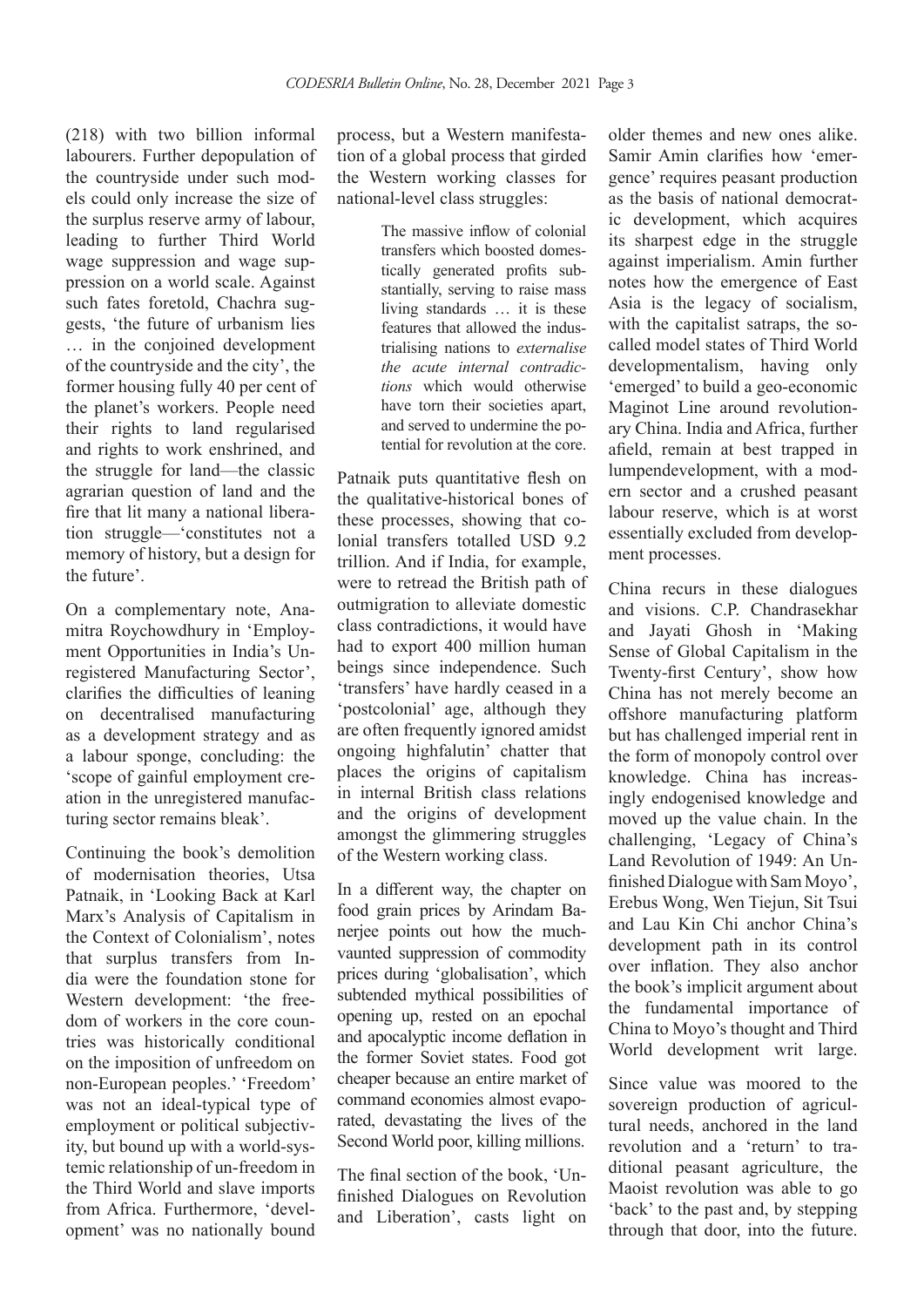(218) with two billion informal labourers. Further depopulation of the countryside under such models could only increase the size of the surplus reserve army of labour, leading to further Third World wage suppression and wage suppression on a world scale. Against such fates foretold, Chachra suggests, 'the future of urbanism lies … in the conjoined development of the countryside and the city', the former housing fully 40 per cent of the planet's workers. People need their rights to land regularised and rights to work enshrined, and the struggle for land—the classic agrarian question of land and the fire that lit many a national liberation struggle—'constitutes not a memory of history, but a design for the future'.

On a complementary note, Anamitra Roychowdhury in 'Employment Opportunities in India's Unregistered Manufacturing Sector', clarifies the difficulties of leaning on decentralised manufacturing as a development strategy and as a labour sponge, concluding: the 'scope of gainful employment creation in the unregistered manufacturing sector remains bleak'.

Continuing the book's demolition of modernisation theories, Utsa Patnaik, in 'Looking Back at Karl Marx's Analysis of Capitalism in the Context of Colonialism', notes that surplus transfers from India were the foundation stone for Western development: 'the freedom of workers in the core countries was historically conditional on the imposition of unfreedom on non-European peoples.' 'Freedom' was not an ideal-typical type of employment or political subjectivity, but bound up with a world-systemic relationship of un-freedom in the Third World and slave imports from Africa. Furthermore, 'development' was no nationally bound process, but a Western manifestation of a global process that girded the Western working classes for national-level class struggles:

> The massive inflow of colonial transfers which boosted domestically generated profits substantially, serving to raise mass living standards … it is these features that allowed the industrialising nations to *externalise the acute internal contradictions* which would otherwise have torn their societies apart. and served to undermine the potential for revolution at the core.

Patnaik puts quantitative flesh on the qualitative-historical bones of these processes, showing that colonial transfers totalled USD 9.2 trillion. And if India, for example, were to retread the British path of outmigration to alleviate domestic class contradictions, it would have had to export 400 million human beings since independence. Such 'transfers' have hardly ceased in a 'postcolonial' age, although they are often frequently ignored amidst ongoing highfalutin' chatter that places the origins of capitalism in internal British class relations and the origins of development amongst the glimmering struggles of the Western working class.

In a different way, the chapter on food grain prices by Arindam Banerjee points out how the muchvaunted suppression of commodity prices during 'globalisation', which subtended mythical possibilities of opening up, rested on an epochal and apocalyptic income deflation in the former Soviet states. Food got cheaper because an entire market of command economies almost evaporated, devastating the lives of the Second World poor, killing millions.

The final section of the book, 'Unfinished Dialogues on Revolution and Liberation', casts light on older themes and new ones alike. Samir Amin clarifies how 'emergence' requires peasant production as the basis of national democratic development, which acquires its sharpest edge in the struggle against imperialism. Amin further notes how the emergence of East Asia is the legacy of socialism, with the capitalist satraps, the socalled model states of Third World developmentalism, having only 'emerged' to build a geo-economic Maginot Line around revolutionary China. India and Africa, further afield, remain at best trapped in lumpendevelopment, with a modern sector and a crushed peasant labour reserve, which is at worst essentially excluded from development processes.

China recurs in these dialogues and visions. C.P. Chandrasekhar and Jayati Ghosh in 'Making Sense of Global Capitalism in the Twenty-first Century', show how China has not merely become an offshore manufacturing platform but has challenged imperial rent in the form of monopoly control over knowledge. China has increasingly endogenised knowledge and moved up the value chain. In the challenging, 'Legacy of China's Land Revolution of 1949: An Unfinished Dialogue with Sam Moyo', Erebus Wong, Wen Tiejun, Sit Tsui and Lau Kin Chi anchor China's development path in its control over inflation. They also anchor the book's implicit argument about the fundamental importance of China to Moyo's thought and Third World development writ large.

Since value was moored to the sovereign production of agricultural needs, anchored in the land revolution and a 'return' to traditional peasant agriculture, the Maoist revolution was able to go 'back' to the past and, by stepping through that door, into the future.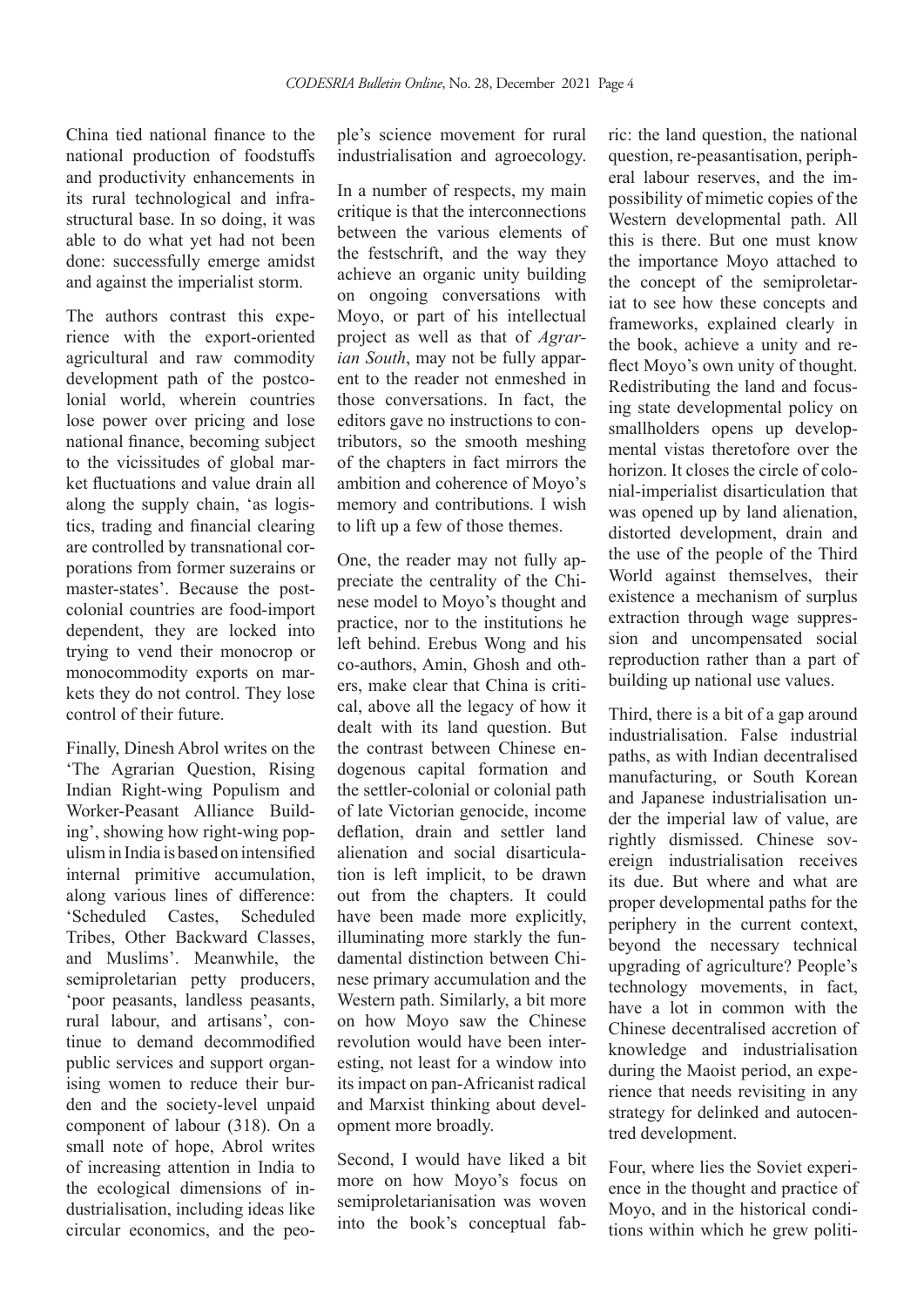China tied national finance to the national production of foodstuffs and productivity enhancements in its rural technological and infrastructural base. In so doing, it was able to do what yet had not been done: successfully emerge amidst and against the imperialist storm.

The authors contrast this experience with the export-oriented agricultural and raw commodity development path of the postcolonial world, wherein countries lose power over pricing and lose national finance, becoming subject to the vicissitudes of global market fluctuations and value drain all along the supply chain, 'as logistics, trading and financial clearing are controlled by transnational corporations from former suzerains or master-states'. Because the postcolonial countries are food-import dependent, they are locked into trying to vend their monocrop or monocommodity exports on markets they do not control. They lose control of their future.

Finally, Dinesh Abrol writes on the 'The Agrarian Question, Rising Indian Right-wing Populism and Worker-Peasant Alliance Building', showing how right-wing populism in India is based on intensified internal primitive accumulation, along various lines of difference: 'Scheduled Castes, Scheduled Tribes, Other Backward Classes, and Muslims'. Meanwhile, the semiproletarian petty producers, 'poor peasants, landless peasants, rural labour, and artisans', continue to demand decommodified public services and support organising women to reduce their burden and the society-level unpaid component of labour (318). On a small note of hope, Abrol writes of increasing attention in India to the ecological dimensions of industrialisation, including ideas like circular economics, and the people's science movement for rural industrialisation and agroecology.

In a number of respects, my main critique is that the interconnections between the various elements of the festschrift, and the way they achieve an organic unity building on ongoing conversations with Moyo, or part of his intellectual project as well as that of *Agrarian South*, may not be fully apparent to the reader not enmeshed in those conversations. In fact, the editors gave no instructions to contributors, so the smooth meshing of the chapters in fact mirrors the ambition and coherence of Moyo's memory and contributions. I wish to lift up a few of those themes.

One, the reader may not fully appreciate the centrality of the Chinese model to Moyo's thought and practice, nor to the institutions he left behind. Erebus Wong and his co-authors, Amin, Ghosh and others, make clear that China is critical, above all the legacy of how it dealt with its land question. But the contrast between Chinese endogenous capital formation and the settler-colonial or colonial path of late Victorian genocide, income deflation, drain and settler land alienation and social disarticulation is left implicit, to be drawn out from the chapters. It could have been made more explicitly, illuminating more starkly the fundamental distinction between Chinese primary accumulation and the Western path. Similarly, a bit more on how Moyo saw the Chinese revolution would have been interesting, not least for a window into its impact on pan-Africanist radical and Marxist thinking about development more broadly.

Second, I would have liked a bit more on how Moyo's focus on semiproletarianisation was woven into the book's conceptual fabric: the land question, the national question, re-peasantisation, peripheral labour reserves, and the impossibility of mimetic copies of the Western developmental path. All this is there. But one must know the importance Moyo attached to the concept of the semiproletariat to see how these concepts and frameworks, explained clearly in the book, achieve a unity and reflect Moyo's own unity of thought. Redistributing the land and focusing state developmental policy on smallholders opens up developmental vistas theretofore over the horizon. It closes the circle of colonial-imperialist disarticulation that was opened up by land alienation, distorted development, drain and the use of the people of the Third World against themselves, their existence a mechanism of surplus extraction through wage suppression and uncompensated social reproduction rather than a part of building up national use values.

Third, there is a bit of a gap around industrialisation. False industrial paths, as with Indian decentralised manufacturing, or South Korean and Japanese industrialisation under the imperial law of value, are rightly dismissed. Chinese sovereign industrialisation receives its due. But where and what are proper developmental paths for the periphery in the current context, beyond the necessary technical upgrading of agriculture? People's technology movements, in fact, have a lot in common with the Chinese decentralised accretion of knowledge and industrialisation during the Maoist period, an experience that needs revisiting in any strategy for delinked and autocentred development.

Four, where lies the Soviet experience in the thought and practice of Moyo, and in the historical conditions within which he grew politi